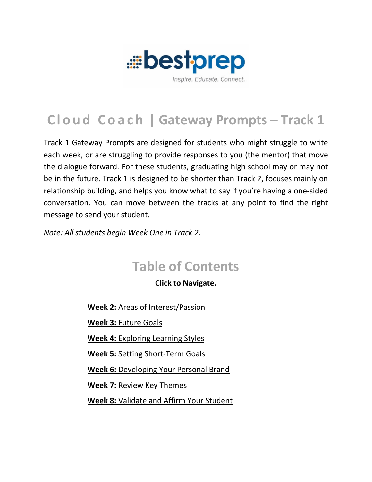

# **Cloud Coach | Gateway Prompts – Track 1**

Track 1 Gateway Prompts are designed for students who might struggle to write each week, or are struggling to provide responses to you (the mentor) that move the dialogue forward. For these students, graduating high school may or may not be in the future. Track 1 is designed to be shorter than Track 2, focuses mainly on relationship building, and helps you know what to say if you're having a one-sided conversation. You can move between the tracks at any point to find the right message to send your student.

*Note: All students begin Week One in Track 2.*

## **Table of Contents**

**Click to Navigate.**

**Week 2:** [Areas of Interest/Passion](#page-1-0)

**Week 3:** [Future Goals](#page-2-0)

**Week 4:** Exploring [Learning Styles](#page-3-0)

**Week 5:** [Setting Short-Term Goals](#page-4-0)

**Week 6:** [Developing Your Personal Brand](#page-5-0)

**Week 7:** [Review Key Themes](#page-6-0)

**Week 8:** [Validate and Affirm Your Student](#page-7-0)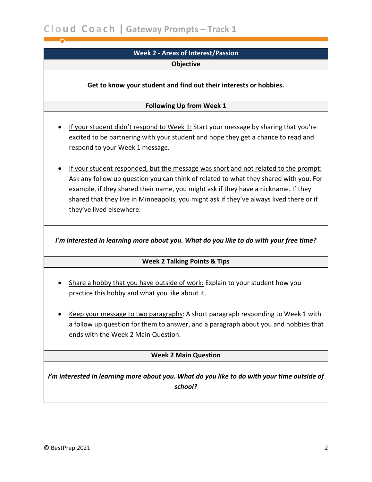## **Week 2 - Areas of Interest/Passion Objective**

<span id="page-1-0"></span>**Get to know your student and find out their interests or hobbies.**

#### **Following Up from Week 1**

- If your student didn't respond to Week 1: Start your message by sharing that you're excited to be partnering with your student and hope they get a chance to read and respond to your Week 1 message.
- If your student responded, but the message was short and not related to the prompt: Ask any follow up question you can think of related to what they shared with you. For example, if they shared their name, you might ask if they have a nickname. If they shared that they live in Minneapolis, you might ask if they've always lived there or if they've lived elsewhere.

*I'm interested in learning more about you. What do you like to do with your free time?*

#### **Week 2 Talking Points & Tips**

- Share a hobby that you have outside of work: Explain to your student how you practice this hobby and what you like about it.
- Keep your message to two paragraphs: A short paragraph responding to Week 1 with a follow up question for them to answer, and a paragraph about you and hobbies that ends with the Week 2 Main Question.

#### **Week 2 Main Question**

*I'm interested in learning more about you. What do you like to do with your time outside of school?*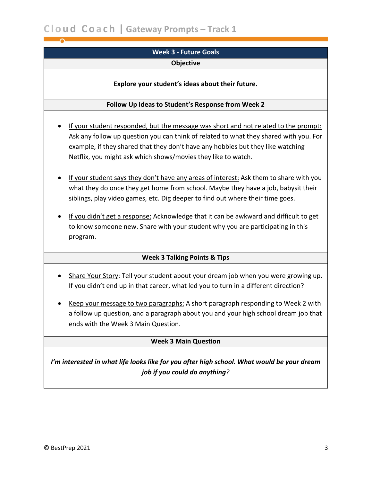## <span id="page-2-0"></span>**Week 3 - Future Goals**

#### **Objective**

#### **Explore your student's ideas about their future.**

#### **Follow Up Ideas to Student's Response from Week 2**

- If your student responded, but the message was short and not related to the prompt: Ask any follow up question you can think of related to what they shared with you. For example, if they shared that they don't have any hobbies but they like watching Netflix, you might ask which shows/movies they like to watch.
- If your student says they don't have any areas of interest: Ask them to share with you what they do once they get home from school. Maybe they have a job, babysit their siblings, play video games, etc. Dig deeper to find out where their time goes.
- If you didn't get a response: Acknowledge that it can be awkward and difficult to get to know someone new. Share with your student why you are participating in this program.

#### **Week 3 Talking Points & Tips**

- Share Your Story: Tell your student about your dream job when you were growing up. If you didn't end up in that career, what led you to turn in a different direction?
- Keep your message to two paragraphs: A short paragraph responding to Week 2 with a follow up question, and a paragraph about you and your high school dream job that ends with the Week 3 Main Question.

#### **Week 3 Main Question**

*I'm interested in what life looks like for you after high school. What would be your dream job if you could do anything?*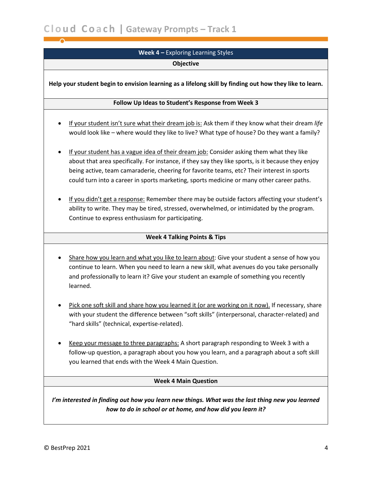## **Week 4 –** Exploring Learning Styles **Objective**

<span id="page-3-0"></span>**Help your student begin to envision learning as a lifelong skill by finding out how they like to learn.**

#### **Follow Up Ideas to Student's Response from Week 3**

- If your student isn't sure what their dream job is: Ask them if they know what their dream *life* would look like – where would they like to live? What type of house? Do they want a family?
- If your student has a vague idea of their dream job: Consider asking them what they like about that area specifically. For instance, if they say they like sports, is it because they enjoy being active, team camaraderie, cheering for favorite teams, etc? Their interest in sports could turn into a career in sports marketing, sports medicine or many other career paths.
- If you didn't get a response: Remember there may be outside factors affecting your student's ability to write. They may be tired, stressed, overwhelmed, or intimidated by the program. Continue to express enthusiasm for participating.

#### **Week 4 Talking Points & Tips**

- Share how you learn and what you like to learn about: Give your student a sense of how you continue to learn. When you need to learn a new skill, what avenues do you take personally and professionally to learn it? Give your student an example of something you recently learned.
- Pick one soft skill and share how you learned it (or are working on it now). If necessary, share with your student the difference between "soft skills" (interpersonal, character-related) and "hard skills" (technical, expertise-related).
- Keep your message to three paragraphs: A short paragraph responding to Week 3 with a follow-up question, a paragraph about you how you learn, and a paragraph about a soft skill you learned that ends with the Week 4 Main Question.

#### **Week 4 Main Question**

*I'm interested in finding out how you learn new things. What was the last thing new you learned how to do in school or at home, and how did you learn it?*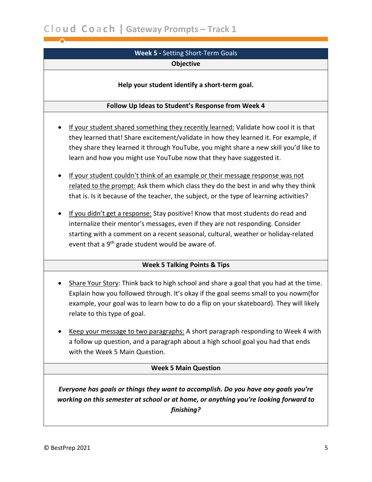<span id="page-4-0"></span>**C l o ud Co a c h | Gateway Prompts – Track 1**

### **Week 5 -** Setting Short-Term Goals **Objective**

#### **Help your student identify a short-term goal.**

#### **Follow Up Ideas to Student's Response from Week 4**

- If your student shared something they recently learned: Validate how cool it is that they learned that! Share excitement/validate in how they learned it. For example, if they share they learned it through YouTube, you might share a new skill you'd like to learn and how you might use YouTube now that they have suggested it.
- If your student couldn't think of an example or their message response was not related to the prompt: Ask them which class they do the best in and why they think that is. Is it because of the teacher, the subject, or the type of learning activities?
- If you didn't get a response: Stay positive! Know that most students do read and internalize their mentor's messages, even if they are not responding. Consider starting with a comment on a recent seasonal, cultural, weather or holiday-related event that a 9<sup>th</sup> grade student would be aware of.

#### **Week 5 Talking Points & Tips**

- Share Your Story: Think back to high school and share a goal that you had at the time. Explain how you followed through. It's okay if the goal seems small to you nowm(for example, your goal was to learn how to do a flip on your skateboard). They will likely relate to this type of goal.
- Keep your message to two paragraphs: A short paragraph responding to Week 4 with a follow up question, and a paragraph about a high school goal you had that ends with the Week 5 Main Question.

#### **Week 5 Main Question**

*Everyone has goals or things they want to accomplish. Do you have any goals you're working on this semester at school or at home, or anything you're looking forward to finishing?*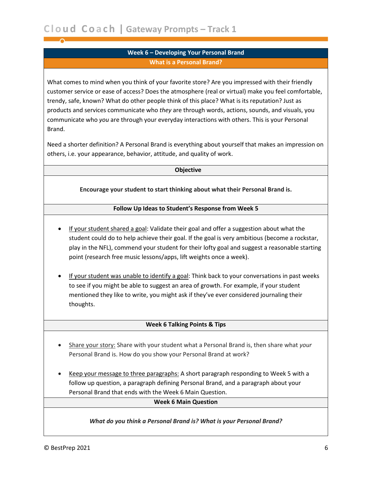#### **Week 6 – Developing Your Personal Brand What is a Personal Brand?**

<span id="page-5-0"></span>What comes to mind when you think of your favorite store? Are you impressed with their friendly customer service or ease of access? Does the atmosphere (real or virtual) make you feel comfortable, trendy, safe, known? What do other people think of this place? What is its reputation? Just as products and services communicate who *they* are through words, actions, sounds, and visuals, you communicate who *you* are through your everyday interactions with others. This is your Personal Brand.

Need a shorter definition? A Personal Brand is everything about yourself that makes an impression on others, i.e. your appearance, behavior, attitude, and quality of work.

#### **Objective**

**Encourage your student to start thinking about what their Personal Brand is.**

#### **Follow Up Ideas to Student's Response from Week 5**

- If your student shared a goal: Validate their goal and offer a suggestion about what the student could do to help achieve their goal. If the goal is very ambitious (become a rockstar, play in the NFL), commend your student for their lofty goal and suggest a reasonable starting point (research free music lessons/apps, lift weights once a week).
- If your student was unable to identify a goal: Think back to your conversations in past weeks to see if you might be able to suggest an area of growth. For example, if your student mentioned they like to write, you might ask if they've ever considered journaling their thoughts.

#### **Week 6 Talking Points & Tips**

- Share your story: Share with your student what a Personal Brand is, then share what *your* Personal Brand is. How do you show your Personal Brand at work?
- Keep your message to three paragraphs: A short paragraph responding to Week 5 with a follow up question, a paragraph defining Personal Brand, and a paragraph about your Personal Brand that ends with the Week 6 Main Question.

#### **Week 6 Main Question**

#### *What do you think a Personal Brand is? What is your Personal Brand?*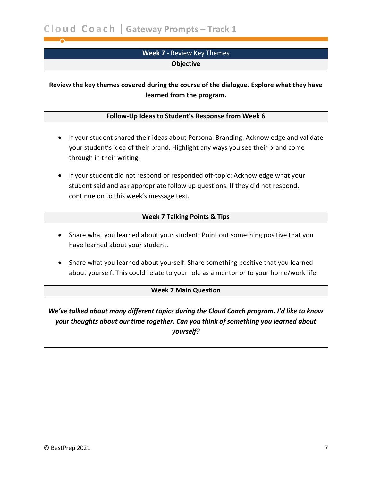<span id="page-6-0"></span>**C l o ud Co a c h | Gateway Prompts – Track 1**

## **Week 7 -** Review Key Themes **Objective**

**Review the key themes covered during the course of the dialogue. Explore what they have learned from the program.**

#### **Follow-Up Ideas to Student's Response from Week 6**

- If your student shared their ideas about Personal Branding: Acknowledge and validate your student's idea of their brand. Highlight any ways you see their brand come through in their writing.
- If your student did not respond or responded off-topic: Acknowledge what your student said and ask appropriate follow up questions. If they did not respond, continue on to this week's message text.

#### **Week 7 Talking Points & Tips**

- Share what you learned about your student: Point out something positive that you have learned about your student.
- Share what you learned about yourself: Share something positive that you learned about yourself. This could relate to your role as a mentor or to your home/work life.

#### **Week 7 Main Question**

*We've talked about many different topics during the Cloud Coach program. I'd like to know your thoughts about our time together. Can you think of something you learned about yourself?*